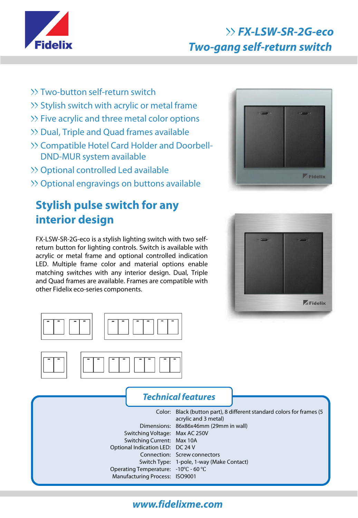

# **FX-LSW-SR-2G-eco Two-gang self-return switch**

- Two-button self-return switch
- >> Stylish switch with acrylic or metal frame
- >> Five acrylic and three metal color options
- Dual, Triple and Quad frames available
- >> Compatible Hotel Card Holder and Doorbell-DND-MUR system available
- >> Optional controlled Led available
- >> Optional engravings on buttons available

# **Stylish pulse switch for any interior design**

FX-LSW-SR-2G-eco is a stylish lighting switch with two selfreturn button for lighting controls. Switch is available with acrylic or metal frame and optional controlled indication LED. Multiple frame color and material options enable matching switches with any interior design. Dual, Triple and Quad frames are available. Frames are compatible with other Fidelix eco-series components.









#### **Technical features**

Color: Black (button part), 8 different standard colors for frames (5 Dimensions: 86x86x46mm (29mm in wall) Switching Voltage: Max AC 250V Switching Current: Max 10A Optional Indication LED: DC 24 V Connection: Screw connectors Switch Type: 1-pole, 1-way (Make Contact) Operating Temperature: -10<sup>°</sup>C - 60 <sup>°</sup>C Manufacturing Process: ISO9001 acrylic and 3 metal)

## **www.fidelixme.com**